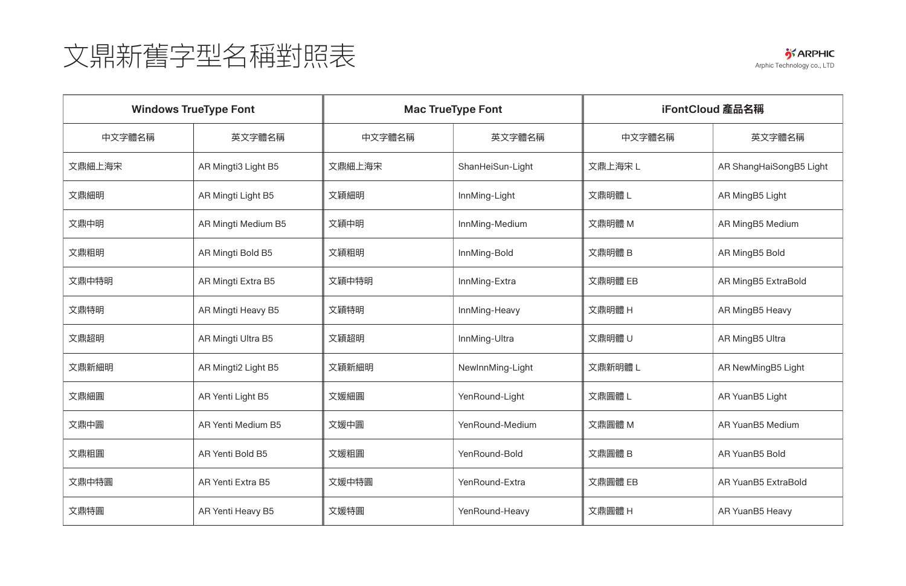

| <b>Windows TrueType Font</b> |                           | <b>Mac TrueType Font</b> |                  | iFontCloud 產品名稱 |                         |
|------------------------------|---------------------------|--------------------------|------------------|-----------------|-------------------------|
| 中文字體名稱                       | 英文字體名稱                    | 中文字體名稱                   | 英文字體名稱           | 中文字體名稱          | 英文字體名稱                  |
| 文鼎細上海宋                       | AR Mingti3 Light B5       | 文鼎細上海宋                   | ShanHeiSun-Light | 文鼎上海宋L          | AR ShangHaiSongB5 Light |
| 文鼎細明                         | AR Mingti Light B5        | 文穎細明                     | InnMing-Light    | 文鼎明體L           | AR MingB5 Light         |
| 文鼎中明                         | AR Mingti Medium B5       | 文穎中明                     | InnMing-Medium   | 文鼎明體 M          | AR MingB5 Medium        |
| 文鼎粗明                         | AR Mingti Bold B5         | 文穎粗明                     | InnMing-Bold     | 文鼎明體 B          | AR MingB5 Bold          |
| 文鼎中特明                        | AR Mingti Extra B5        | 文穎中特明                    | InnMing-Extra    | 文鼎明體 EB         | AR MingB5 ExtraBold     |
| 文鼎特明                         | AR Mingti Heavy B5        | 文穎特明                     | InnMing-Heavy    | 文鼎明體 H          | AR MingB5 Heavy         |
| 文鼎超明                         | AR Mingti Ultra B5        | 文穎超明                     | InnMing-Ultra    | 文鼎明體 U          | AR MingB5 Ultra         |
| 文鼎新細明                        | AR Mingti2 Light B5       | 文穎新細明                    | NewInnMing-Light | 文鼎新明體 L         | AR NewMingB5 Light      |
| 文鼎細圓                         | AR Yenti Light B5         | 文媛細圓                     | YenRound-Light   | 文鼎圓體L           | AR YuanB5 Light         |
| 文鼎中圓                         | <b>AR Yenti Medium B5</b> | 文媛中圓                     | YenRound-Medium  | 文鼎圓體 M          | AR YuanB5 Medium        |
| 文鼎粗圓                         | AR Yenti Bold B5          | 文媛粗圓                     | YenRound-Bold    | 文鼎圓體 B          | AR YuanB5 Bold          |
| 文鼎中特圓                        | <b>AR Yenti Extra B5</b>  | 文媛中特圓                    | YenRound-Extra   | 文鼎圓體 EB         | AR YuanB5 ExtraBold     |
| 文鼎特圓                         | AR Yenti Heavy B5         | 文媛特圓                     | YenRound-Heavy   | 文鼎圓體 H          | AR YuanB5 Heavy         |

## 文鼎新舊字型名稱對照表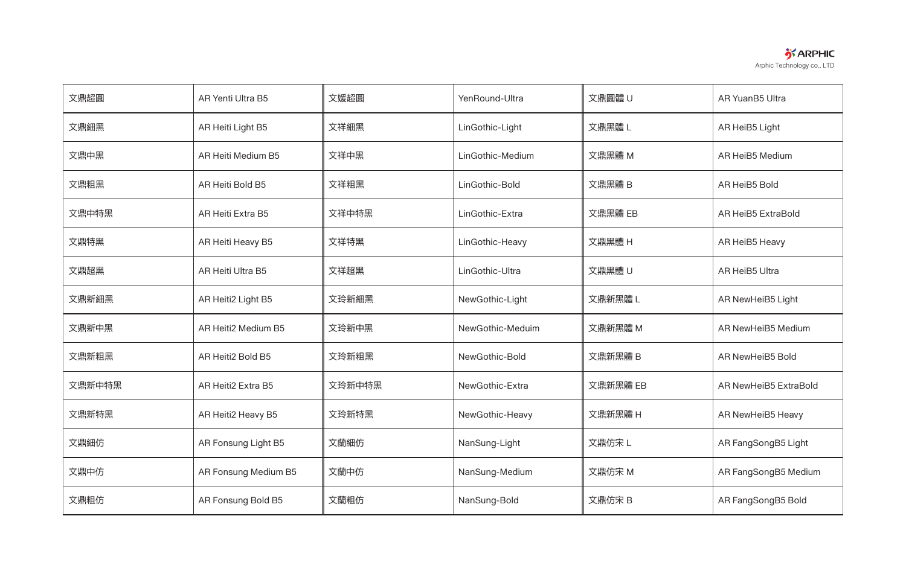| <b>S</b> ARPHIC            |
|----------------------------|
| Arphic Technology co., LTD |

| 文鼎超圓   | AR Yenti Ultra B5         | 文媛超圓   | YenRound-Ultra   | 文鼎圓體 U   | AR YuanB5 Ultra           |
|--------|---------------------------|--------|------------------|----------|---------------------------|
| 文鼎細黑   | AR Heiti Light B5         | 文祥細黑   | LinGothic-Light  | 文鼎黑體L    | AR HeiB5 Light            |
| 文鼎中黑   | <b>AR Heiti Medium B5</b> | 文祥中黑   | LinGothic-Medium | 文鼎黑體 M   | AR HeiB5 Medium           |
| 文鼎粗黑   | <b>AR Heiti Bold B5</b>   | 文祥粗黑   | LinGothic-Bold   | 文鼎黑體 B   | AR HeiB5 Bold             |
| 文鼎中特黑  | <b>AR Heiti Extra B5</b>  | 文祥中特黑  | LinGothic-Extra  | 文鼎黑體 EB  | <b>AR HeiB5 ExtraBold</b> |
| 文鼎特黑   | AR Heiti Heavy B5         | 文祥特黑   | LinGothic-Heavy  | 文鼎黑體 H   | AR HeiB5 Heavy            |
| 文鼎超黑   | <b>AR Heiti Ultra B5</b>  | 文祥超黑   | LinGothic-Ultra  | 文鼎黑體 U   | AR HeiB5 Ultra            |
| 文鼎新細黑  | AR Heiti2 Light B5        | 文玲新細黑  | NewGothic-Light  | 文鼎新黑體 L  | AR NewHeiB5 Light         |
| 文鼎新中黑  | AR Heiti2 Medium B5       | 文玲新中黑  | NewGothic-Meduim | 文鼎新黑體 M  | AR NewHeiB5 Medium        |
| 文鼎新粗黑  | AR Heiti2 Bold B5         | 文玲新粗黑  | NewGothic-Bold   | 文鼎新黑體 B  | AR NewHeiB5 Bold          |
| 文鼎新中特黑 | AR Heiti2 Extra B5        | 文玲新中特黑 | NewGothic-Extra  | 文鼎新黑體 EB | AR NewHeiB5 ExtraBold     |
| 文鼎新特黑  | AR Heiti2 Heavy B5        | 文玲新特黑  | NewGothic-Heavy  | 文鼎新黑體 H  | AR NewHeiB5 Heavy         |
| 文鼎細仿   | AR Fonsung Light B5       | 文蘭細仿   | NanSung-Light    | 文鼎仿宋L    | AR FangSongB5 Light       |
| 文鼎中仿   | AR Fonsung Medium B5      | 文蘭中仿   | NanSung-Medium   | 文鼎仿宋 M   | AR FangSongB5 Medium      |
| 文鼎粗仿   | AR Fonsung Bold B5        | 文蘭粗仿   | NanSung-Bold     | 文鼎仿宋 B   | AR FangSongB5 Bold        |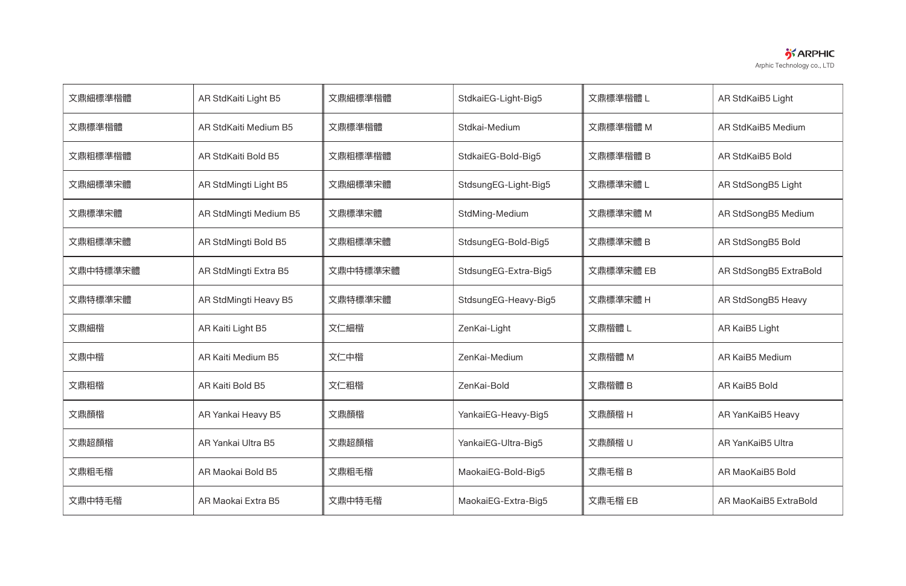

| 文鼎細標準楷體  | AR StdKaiti Light B5      | 文鼎細標準楷體  | StdkaiEG-Light-Big5  | 文鼎標準楷體 L  | AR StdKaiB5 Light      |
|----------|---------------------------|----------|----------------------|-----------|------------------------|
| 文鼎標準楷體   | AR StdKaiti Medium B5     | 文鼎標準楷體   | Stdkai-Medium        | 文鼎標準楷體 M  | AR StdKaiB5 Medium     |
| 文鼎粗標準楷體  | AR StdKaiti Bold B5       | 文鼎粗標準楷體  | StdkaiEG-Bold-Big5   | 文鼎標準楷體 B  | AR StdKaiB5 Bold       |
| 文鼎細標準宋體  | AR StdMingti Light B5     | 文鼎細標準宋體  | StdsungEG-Light-Big5 | 文鼎標準宋體 L  | AR StdSongB5 Light     |
| 文鼎標準宋體   | AR StdMingti Medium B5    | 文鼎標準宋體   | StdMing-Medium       | 文鼎標準宋體 M  | AR StdSongB5 Medium    |
| 文鼎粗標準宋體  | AR StdMingti Bold B5      | 文鼎粗標準宋體  | StdsungEG-Bold-Big5  | 文鼎標準宋體 B  | AR StdSongB5 Bold      |
| 文鼎中特標準宋體 | AR StdMingti Extra B5     | 文鼎中特標準宋體 | StdsungEG-Extra-Big5 | 文鼎標準宋體 EB | AR StdSongB5 ExtraBold |
| 文鼎特標準宋體  | AR StdMingti Heavy B5     | 文鼎特標準宋體  | StdsungEG-Heavy-Big5 | 文鼎標準宋體 H  | AR StdSongB5 Heavy     |
| 文鼎細楷     | AR Kaiti Light B5         | 文仁細楷     | ZenKai-Light         | 文鼎楷體L     | AR KaiB5 Light         |
| 文鼎中楷     | <b>AR Kaiti Medium B5</b> | 文仁中楷     | ZenKai-Medium        | 文鼎楷體 M    | AR KaiB5 Medium        |
| 文鼎粗楷     | AR Kaiti Bold B5          | 文仁粗楷     | ZenKai-Bold          | 文鼎楷體 B    | AR KaiB5 Bold          |
| 文鼎顏楷     | AR Yankai Heavy B5        | 文鼎顏楷     | YankaiEG-Heavy-Big5  | 文鼎顏楷 H    | AR YanKaiB5 Heavy      |
| 文鼎超顏楷    | AR Yankai Ultra B5        | 文鼎超顏楷    | YankaiEG-Ultra-Big5  | 文鼎顏楷 U    | AR YanKaiB5 Ultra      |
| 文鼎粗毛楷    | AR Maokai Bold B5         | 文鼎粗毛楷    | MaokaiEG-Bold-Big5   | 文鼎毛楷 B    | AR MaoKaiB5 Bold       |
| 文鼎中特毛楷   | AR Maokai Extra B5        | 文鼎中特毛楷   | MaokaiEG-Extra-Big5  | 文鼎毛楷 EB   | AR MaoKaiB5 ExtraBold  |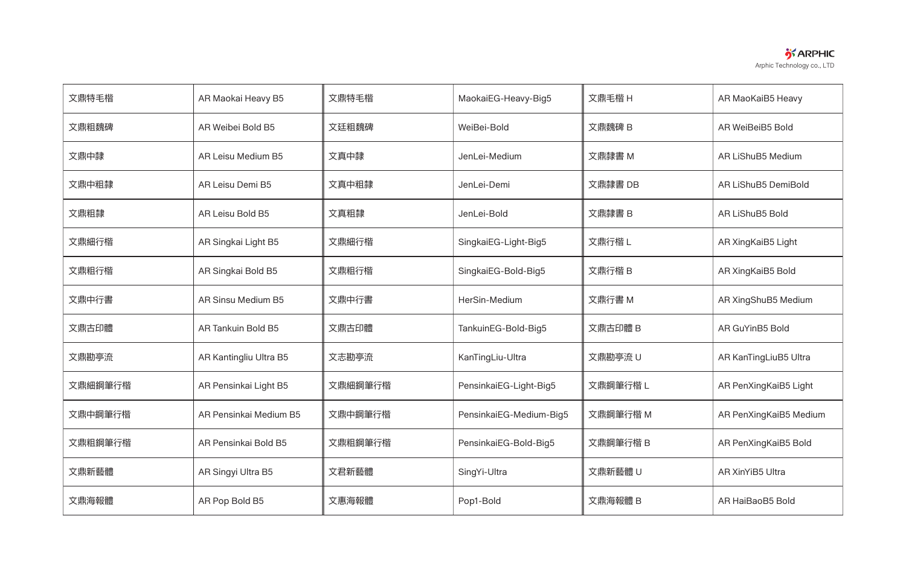

| 文鼎特毛楷   | AR Maokai Heavy B5        | 文鼎特毛楷   | MaokaiEG-Heavy-Big5     | 文鼎毛楷 H   | AR MaoKaiB5 Heavy      |
|---------|---------------------------|---------|-------------------------|----------|------------------------|
| 文鼎粗魏碑   | AR Weibei Bold B5         | 文廷粗魏碑   | WeiBei-Bold             | 文鼎魏碑 B   | AR WeiBeiB5 Bold       |
| 文鼎中隸    | AR Leisu Medium B5        | 文真中隸    | JenLei-Medium           | 文鼎隸書 M   | AR LiShuB5 Medium      |
| 文鼎中粗隸   | AR Leisu Demi B5          | 文真中粗隸   | JenLei-Demi             | 文鼎隸書 DB  | AR LiShuB5 DemiBold    |
| 文鼎粗隸    | AR Leisu Bold B5          | 文真粗隸    | JenLei-Bold             | 文鼎隸書 B   | <b>AR LiShuB5 Bold</b> |
| 文鼎細行楷   | AR Singkai Light B5       | 文鼎細行楷   | SingkaiEG-Light-Big5    | 文鼎行楷L    | AR XingKaiB5 Light     |
| 文鼎粗行楷   | AR Singkai Bold B5        | 文鼎粗行楷   | SingkaiEG-Bold-Big5     | 文鼎行楷 B   | AR XingKaiB5 Bold      |
| 文鼎中行書   | <b>AR Sinsu Medium B5</b> | 文鼎中行書   | HerSin-Medium           | 文鼎行書 M   | AR XingShuB5 Medium    |
| 文鼎古印體   | <b>AR Tankuin Bold B5</b> | 文鼎古印體   | TankuinEG-Bold-Big5     | 文鼎古印體 B  | AR GuYinB5 Bold        |
| 文鼎勘亭流   | AR Kantingliu Ultra B5    | 文志勘亭流   | KanTingLiu-Ultra        | 文鼎勘亭流 U  | AR KanTingLiuB5 Ultra  |
| 文鼎細鋼筆行楷 | AR Pensinkai Light B5     | 文鼎細鋼筆行楷 | PensinkaiEG-Light-Big5  | 文鼎鋼筆行楷 L | AR PenXingKaiB5 Light  |
| 文鼎中鋼筆行楷 | AR Pensinkai Medium B5    | 文鼎中鋼筆行楷 | PensinkaiEG-Medium-Big5 | 文鼎鋼筆行楷 M | AR PenXingKaiB5 Medium |
| 文鼎粗鋼筆行楷 | AR Pensinkai Bold B5      | 文鼎粗鋼筆行楷 | PensinkaiEG-Bold-Big5   | 文鼎鋼筆行楷 B | AR PenXingKaiB5 Bold   |
| 文鼎新藝體   | AR Singyi Ultra B5        | 文君新藝體   | SingYi-Ultra            | 文鼎新藝體 U  | AR XinYiB5 Ultra       |
| 文鼎海報體   | AR Pop Bold B5            | 文惠海報體   | Pop1-Bold               | 文鼎海報體 B  | AR HaiBaoB5 Bold       |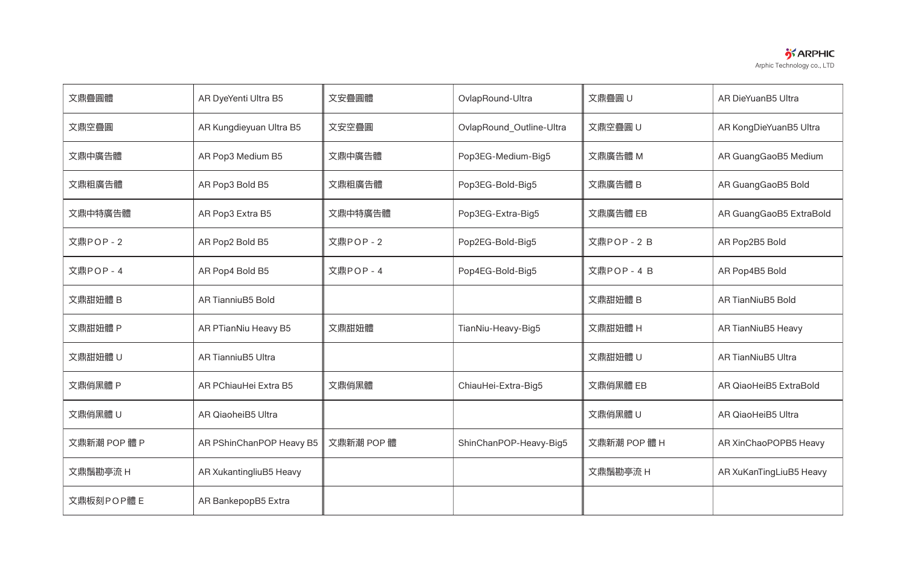

| 文鼎疊圓體        | AR DyeYenti Ultra B5      | 文安疊圓體      | OvlapRound-Ultra         | 文鼎疊圓U        | AR DieYuanB5 Ultra        |
|--------------|---------------------------|------------|--------------------------|--------------|---------------------------|
| 文鼎空疊圓        | AR Kungdieyuan Ultra B5   | 文安空疊圓      | OvlapRound_Outline-Ultra | 文鼎空疊圓U       | AR KongDieYuanB5 Ultra    |
| 文鼎中廣告體       | AR Pop3 Medium B5         | 文鼎中廣告體     | Pop3EG-Medium-Big5       | 文鼎廣告體 M      | AR GuangGaoB5 Medium      |
| 文鼎粗廣告體       | AR Pop3 Bold B5           | 文鼎粗廣告體     | Pop3EG-Bold-Big5         | 文鼎廣告體 B      | AR GuangGaoB5 Bold        |
| 文鼎中特廣告體      | AR Pop3 Extra B5          | 文鼎中特廣告體    | Pop3EG-Extra-Big5        | 文鼎廣告體 EB     | AR GuangGaoB5 ExtraBold   |
| 文鼎POP-2      | AR Pop2 Bold B5           | 文鼎POP-2    | Pop2EG-Bold-Big5         | 文鼎POP-2B     | AR Pop2B5 Bold            |
| 文鼎POP - 4    | AR Pop4 Bold B5           | 文鼎POP-4    | Pop4EG-Bold-Big5         | 文鼎POP - 4 B  | AR Pop4B5 Bold            |
| 文鼎甜妞體 B      | <b>AR TianniuB5 Bold</b>  |            |                          | 文鼎甜妞體 B      | <b>AR TianNiuB5 Bold</b>  |
| 文鼎甜妞體 P      | AR PTianNiu Heavy B5      | 文鼎甜妞體      | TianNiu-Heavy-Big5       | 文鼎甜妞體 H      | AR TianNiuB5 Heavy        |
| 文鼎甜妞體 U      | <b>AR TianniuB5 Ultra</b> |            |                          | 文鼎甜妞體 U      | <b>AR TianNiuB5 Ultra</b> |
| 文鼎俏黑體 P      | AR PChiauHei Extra B5     | 文鼎俏黑體      | ChiauHei-Extra-Big5      | 文鼎俏黑體 EB     | AR QiaoHeiB5 ExtraBold    |
| 文鼎俏黑體 U      | AR QiaoheiB5 Ultra        |            |                          | 文鼎俏黑體 U      | AR QiaoHeiB5 Ultra        |
| 文鼎新潮 POP 體 P | AR PShinChanPOP Heavy B5  | 文鼎新潮 POP 體 | ShinChanPOP-Heavy-Big5   | 文鼎新潮 POP 體 H | AR XinChaoPOPB5 Heavy     |
| 文鼎鬚勘亭流 H     | AR XukantingliuB5 Heavy   |            |                          | 文鼎鬚勘亭流 H     | AR XuKanTingLiuB5 Heavy   |
| 文鼎板刻POP體 E   | AR BankepopB5 Extra       |            |                          |              |                           |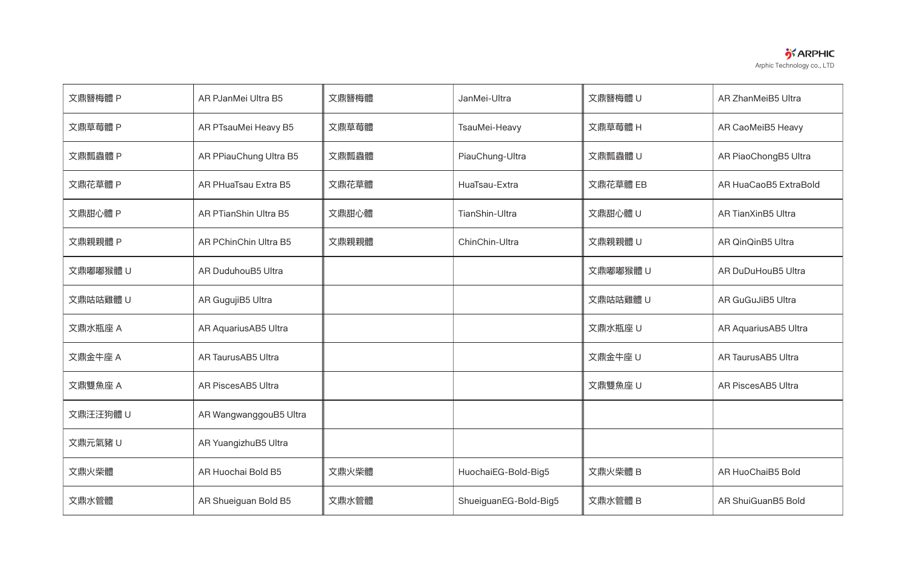

| 文鼎簪梅體 P  | AR PJanMei Ultra B5    | 文鼎簪梅體 | JanMei-Ultra          | 文鼎簪梅體 U  | AR ZhanMeiB5 Ultra        |
|----------|------------------------|-------|-----------------------|----------|---------------------------|
| 文鼎草莓體 P  | AR PTsauMei Heavy B5   | 文鼎草莓體 | TsauMei-Heavy         | 文鼎草莓體 H  | AR CaoMeiB5 Heavy         |
| 文鼎瓢蟲體 P  | AR PPiauChung Ultra B5 | 文鼎瓢蟲體 | PiauChung-Ultra       | 文鼎瓢蟲體 U  | AR PiaoChongB5 Ultra      |
| 文鼎花草體 P  | AR PHuaTsau Extra B5   | 文鼎花草體 | HuaTsau-Extra         | 文鼎花草體 EB | AR HuaCaoB5 ExtraBold     |
| 文鼎甜心體 P  | AR PTianShin Ultra B5  | 文鼎甜心體 | TianShin-Ultra        | 文鼎甜心體 U  | <b>AR TianXinB5 Ultra</b> |
| 文鼎親親體 P  | AR PChinChin Ultra B5  | 文鼎親親體 | ChinChin-Ultra        | 文鼎親親體 U  | AR QinQinB5 Ultra         |
| 文鼎嘟嘟猴體 U | AR DuduhouB5 Ultra     |       |                       | 文鼎嘟嘟猴體 U | AR DuDuHouB5 Ultra        |
| 文鼎咕咕雞體 U | AR GugujiB5 Ultra      |       |                       | 文鼎咕咕雞體 U | <b>AR GuGuJiB5 Ultra</b>  |
| 文鼎水瓶座 A  | AR AquariusAB5 Ultra   |       |                       | 文鼎水瓶座 U  | AR AquariusAB5 Ultra      |
| 文鼎金牛座 A  | AR TaurusAB5 Ultra     |       |                       | 文鼎金牛座 U  | AR TaurusAB5 Ultra        |
| 文鼎雙魚座 A  | AR PiscesAB5 Ultra     |       |                       | 文鼎雙魚座U   | AR PiscesAB5 Ultra        |
| 文鼎汪汪狗體 U | AR WangwanggouB5 Ultra |       |                       |          |                           |
| 文鼎元氣豬 U  | AR YuangizhuB5 Ultra   |       |                       |          |                           |
| 文鼎火柴體    | AR Huochai Bold B5     | 文鼎火柴體 | HuochaiEG-Bold-Big5   | 文鼎火柴體 B  | AR HuoChaiB5 Bold         |
| 文鼎水管體    | AR Shueiguan Bold B5   | 文鼎水管體 | ShueiguanEG-Bold-Big5 | 文鼎水管體 B  | AR ShuiGuanB5 Bold        |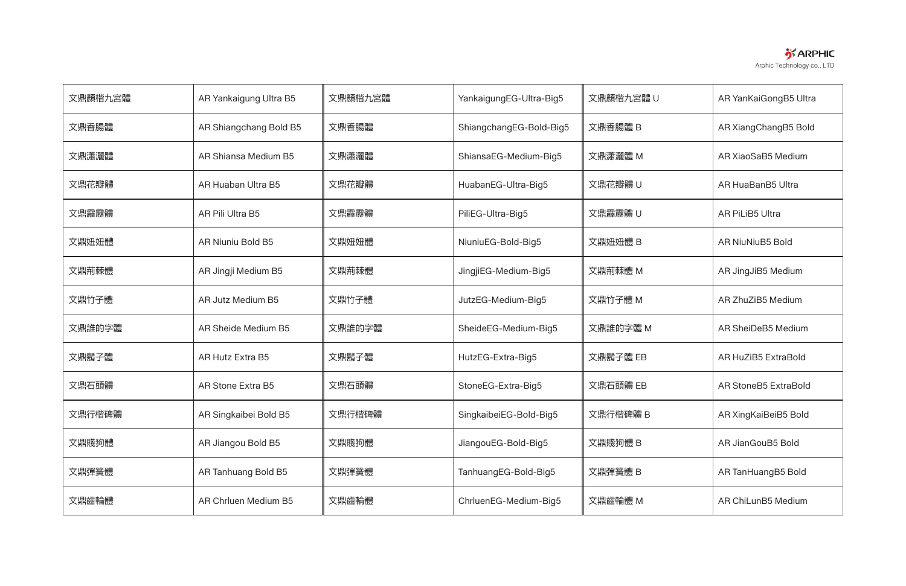

| 文鼎顏楷九宮體 | AR Yankaigung Ultra B5   | 文鼎顏楷九宮體 | YankaigungEG-Ultra-Big5 | 文鼎顏楷九宮體 U | AR YanKaiGongB5 Ultra       |
|---------|--------------------------|---------|-------------------------|-----------|-----------------------------|
| 文鼎香腸體   | AR Shiangchang Bold B5   | 文鼎香腸體   | ShiangchangEG-Bold-Big5 | 文鼎香腸體 B   | AR XiangChangB5 Bold        |
| 文鼎瀟灑體   | AR Shiansa Medium B5     | 文鼎瀟灑體   | ShiansaEG-Medium-Big5   | 文鼎瀟灑體 M   | AR XiaoSaB5 Medium          |
| 文鼎花瓣體   | AR Huaban Ultra B5       | 文鼎花瓣體   | HuabanEG-Ultra-Big5     | 文鼎花瓣體 U   | AR HuaBanB5 Ultra           |
| 文鼎霹靂體   | AR Pili Ultra B5         | 文鼎霹靂體   | PiliEG-Ultra-Big5       | 文鼎霹靂體 U   | AR PiLiB5 Ultra             |
| 文鼎妞妞體   | <b>AR Niuniu Bold B5</b> | 文鼎妞妞體   | NiuniuEG-Bold-Big5      | 文鼎妞妞體 B   | <b>AR NiuNiuB5 Bold</b>     |
| 文鼎荊棘體   | AR Jingji Medium B5      | 文鼎荊棘體   | JingjiEG-Medium-Big5    | 文鼎荊棘體 M   | AR JingJiB5 Medium          |
| 文鼎竹子體   | AR Jutz Medium B5        | 文鼎竹子體   | JutzEG-Medium-Big5      | 文鼎竹子體 M   | AR ZhuZiB5 Medium           |
| 文鼎誰的字體  | AR Sheide Medium B5      | 文鼎誰的字體  | SheideEG-Medium-Big5    | 文鼎誰的字體 M  | AR SheiDeB5 Medium          |
| 文鼎鬍子體   | <b>AR Hutz Extra B5</b>  | 文鼎鬍子體   | HutzEG-Extra-Big5       | 文鼎鬍子體 EB  | <b>AR HuZiB5 ExtraBold</b>  |
| 文鼎石頭體   | <b>AR Stone Extra B5</b> | 文鼎石頭體   | StoneEG-Extra-Big5      | 文鼎石頭體 EB  | <b>AR StoneB5 ExtraBold</b> |
| 文鼎行楷碑體  | AR Singkaibei Bold B5    | 文鼎行楷碑體  | SingkaibeiEG-Bold-Big5  | 文鼎行楷碑體 B  | AR XingKaiBeiB5 Bold        |
| 文鼎賤狗體   | AR Jiangou Bold B5       | 文鼎賤狗體   | JiangouEG-Bold-Big5     | 文鼎賤狗體 B   | AR JianGouB5 Bold           |
| 文鼎彈簧體   | AR Tanhuang Bold B5      | 文鼎彈簧體   | TanhuangEG-Bold-Big5    | 文鼎彈簧體 B   | AR TanHuangB5 Bold          |
| 文鼎齒輪體   | AR Chrluen Medium B5     | 文鼎齒輪體   | ChrluenEG-Medium-Big5   | 文鼎齒輪體 M   | AR ChiLunB5 Medium          |